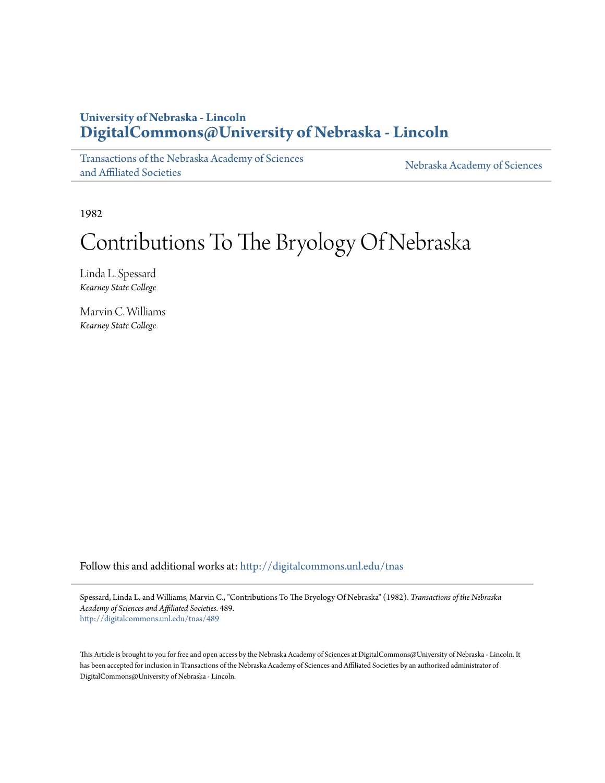# **University of Nebraska - Lincoln [DigitalCommons@University of Nebraska - Lincoln](http://digitalcommons.unl.edu?utm_source=digitalcommons.unl.edu%2Ftnas%2F489&utm_medium=PDF&utm_campaign=PDFCoverPages)**

[Transactions of the Nebraska Academy of Sciences](http://digitalcommons.unl.edu/tnas?utm_source=digitalcommons.unl.edu%2Ftnas%2F489&utm_medium=PDF&utm_campaign=PDFCoverPages) [and Affiliated Societies](http://digitalcommons.unl.edu/tnas?utm_source=digitalcommons.unl.edu%2Ftnas%2F489&utm_medium=PDF&utm_campaign=PDFCoverPages)

[Nebraska Academy of Sciences](http://digitalcommons.unl.edu/nebacadsci?utm_source=digitalcommons.unl.edu%2Ftnas%2F489&utm_medium=PDF&utm_campaign=PDFCoverPages)

1982

# Contributions To The Bryology Of Nebraska

Linda L. Spessard *Kearney State College*

Marvin C. Williams *Kearney State College*

Follow this and additional works at: [http://digitalcommons.unl.edu/tnas](http://digitalcommons.unl.edu/tnas?utm_source=digitalcommons.unl.edu%2Ftnas%2F489&utm_medium=PDF&utm_campaign=PDFCoverPages)

Spessard, Linda L. and Williams, Marvin C., "Contributions To The Bryology Of Nebraska" (1982). *Transactions of the Nebraska Academy of Sciences and Affiliated Societies*. 489. [http://digitalcommons.unl.edu/tnas/489](http://digitalcommons.unl.edu/tnas/489?utm_source=digitalcommons.unl.edu%2Ftnas%2F489&utm_medium=PDF&utm_campaign=PDFCoverPages)

This Article is brought to you for free and open access by the Nebraska Academy of Sciences at DigitalCommons@University of Nebraska - Lincoln. It has been accepted for inclusion in Transactions of the Nebraska Academy of Sciences and Affiliated Societies by an authorized administrator of DigitalCommons@University of Nebraska - Lincoln.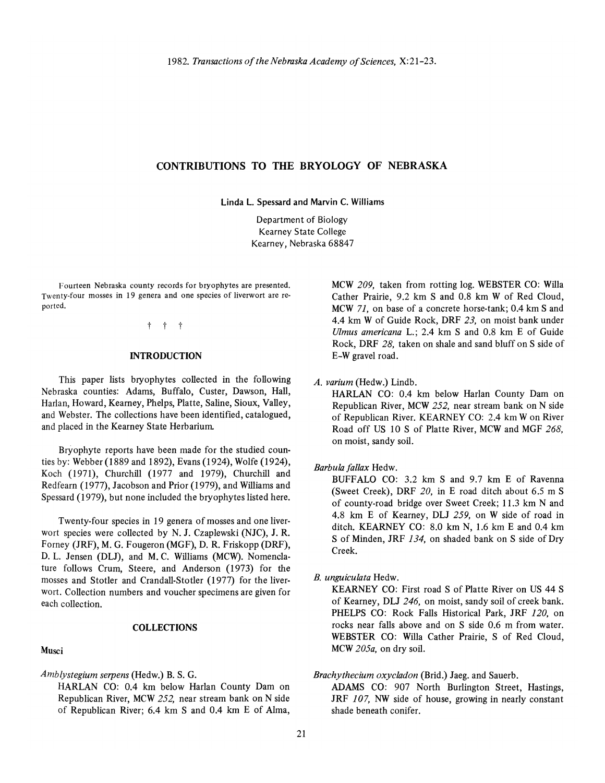# CONTRIBUTIONS TO THE BRYOLOGY OF NEBRASKA

Linda L. Spessard and Marvin C. WiJliams

Department of Biology Kearney State College Kearney, Nebraska 68847

Fourteen Nebraska county records for bryophytes are presented. Twenty-four mosses in 19 genera and one species of liverwort are reported.

t t t

#### **INTRODUCTION**

This paper lists bryophytes collected in the following Nebraska counties: Adams, Buffalo, Custer, Dawson, Hall, Harlan, Howard, Keamey, Phelps, Platte, Saline, Sioux, Valley, and Webster. The collections have been identified, catalogued, and placed in the Keamey State Herbarium

Bryophyte reports have been made for the studied counties by: Webber (1889 and 1892), Evans (1924), Wolfe (1924), Koch (1971), Churchill (1977 and 1979), Churchill and Redfeam (1977), Jacobson and Prior (1979), and Williams and Spessard (1979), but none included the bryophytes listed here.

Twenty-four species in 19 genera of mosses and one liverwort species were collected by N. J. Czaplewski (NJC), J. R. Fomey (JRF), M. G. Fougeron (MGF), D. R. Friskopp (DRF), D. L. Jensen (DLJ), and M. C. Williams (MCW). Nomenclature follows Crum, Steere, and Anderson (1973) for the mosses and Stotler and Crandall-Stotler (1977) for the liverwort. Collection numbers and voucher specimens are given for each collection.

#### COLLECTIONS

#### Musci

*Amblystegium serpens* (Hedw.) B. S. G.

HARLAN CO: 0.4 km below Harlan County Dam on Republican River, MCW 252, near stream bank on N side of Republican River; 6.4 km S and 0.4 km E of Alma, MCW *209,* taken from rotting log. WEBSTER CO: Willa Cather Prairie, 9.2 km S and 0.8 km W of Red Cloud, MCW 71, on base of a concrete horse-tank; 0.4 km S and 4.4 km W of Guide Rock, DRF 23, on moist bank under *Ulmus americana* L.; 2.4 km S and 0.8 km E of Guide Rock, DRF 28, taken on shale and sand bluff on S side of E-W gravel road.

*A. varium* (Hedw.) Lindb.

HARLAN CO: 0.4 km below Harlan County Dam on Republican River, MCW 252, near stream bank on N side of Republican River. KEARNEY CO: 2.4 km W on River Road off US 10 S of Platte River, MCW and MGF 268, on moist, sandy soil.

#### *Barbula fallax* Hedw.

BUFFALO CO: 3.2 km S and 9.7 km E of Ravenna (Sweet Creek), DRF *20,* in E road ditch about 6.5 m S of county-road bridge over Sweet Creek; 11.3 km N and 4.8 km E of Keamey, DU 259, on W side of road in ditch. KEARNEY CO: 8.0 km N, 1.6 km E and 0.4 km S of Minden, JRF 134, on shaded bank on S side of Dry Creek.

#### *B. unguiculata* Hedw.

KEARNEY CO: First road S of Platte River on US 44 S of Keamey, DLJ 246, on moist, sandy soil of creek bank. PHELPS CO: Rock Falls Historical Park, JRF *120,* on rocks near falls above and on S side 0.6 m from water. WEBSTER CO: Willa Cather Prairie, S of Red Cloud, MCW *205a,* on dry soil.

#### *Brachythecium oxycladon* (Brid.) Jaeg. and Sauerb.

ADAMS CO: 907 North Burlington Street, Hastings, JRF *107,* NW side of house, growing in nearly constant shade beneath conifer.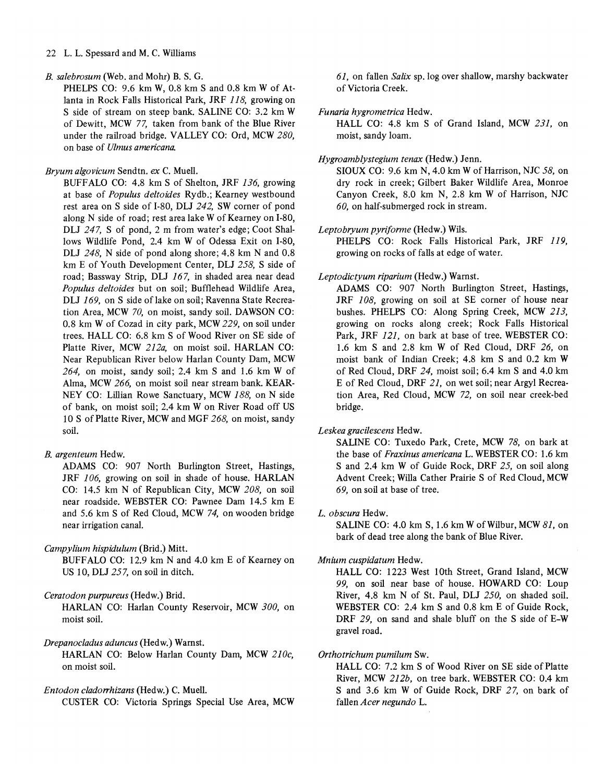#### 22 L. L. Spessard and M. C. Williams

#### *B. salebrosum* (Web. and Mohr) B. S. G.

PHELPS CO:  $9.6 \text{ km } W$ ,  $0.8 \text{ km } S$  and  $0.8 \text{ km } W$  of Atlanta in Rock Falls Historical Park, JRF 118, growing on S side of stream on steep bank. SALINE CO: 3.2 km W of Dewitt, MCW 77, taken from bank of the Blue River under the railroad bridge. VALLEY CO: Ord, MCW *280,*  on base of *Ulmus americana.* 

#### *Bryum algovicum* Sendtn. *ex* C. Muell.

BUFFALO co: 4.8 km S of Shelton, JRF 136, growing at base of *Populus deltoides* Rydb.; Kearney westbound rest area on S side of I-80, DLJ 242, SW corner of pond along N side of road; rest area lake W of Kearney on 1-80, DLJ 247, S of pond, 2 m from water's edge; Coot Shallows Wildlife Pond, 2.4 km W of Odessa Exit on 1-80, DLJ 248, N side of pond along shore;  $4.8 \text{ km}$  N and  $0.8$ km E of Youth Development Center, DLJ 258, S side of road; Bassway Strip, DU 167, in shaded area near dead *Populus deltoides* but on soil; Bufflehead Wildlife Area, DLJ 169, on S side of lake on soil; Ravenna State Recreation Area, MCW 70, on moist, sandy soil. DAWSON CO: 0.8 km W of Cozad in city park, MCW 229, on soil under trees. HALL CO: 6.8 km S of Wood River on SE side of Platte River, MCW *212a,* on moist soil. HARLAN CO: Near Republican River below Harlan County Dam, MCW  $264$ , on moist, sandy soil; 2.4 km S and 1.6 km W of Alma, MCW 266, on moist soil near stream bank. KEAR-NEY CO: Lillian Rowe Sanctuary, MCW 188, on N side of bank, on moist soil; 2.4 km W on River Road off US 10 S of Platte River, MCW and MGF 268, on moist, sandy soil.

# *B. argenteum* Hedw.

ADAMS CO: 907 North Burlington Street, Hastings, JRF *106,* growing on soil in shade of house. HARLAN CO: 14.5 km N of Republican City, MCW *208,* on soil near roadside. WEBSTER CO: Pawnee Dam 14.5 km E and 5.6 km S of Red Cloud, MCW 74, on wooden bridge near irrigation canal.

#### *Campylium hispidulum* (Brid.) Mitt.

BUFFALO CO: 12.9 km N and 4.0 km E of Kearney on US 10, DLJ 257, on soil in ditch.

# *Ceratodon purpureus* (Hedw.) Brid.

HARLAN CO: Harlan County Reservoir, MCW *300,* on moist soil.

#### *Drepanocladus aduncus* (Hedw.) Warnst.

HARLAN CO: Below Harlan County Dam, MCW *210c,*  on moist soil.

#### *Entodon cladorrhizans* (Hedw.) C. Mue1l.

CUSTER CO: Victoria Springs Special Use Area, MCW

61, on fallen *Salix* sp.log over shallow, marshy backwater of Victoria Creek.

#### *Funaria hygrometrica* Hedw.

HALL CO: 4.8 km S of Grand Island, MCW 231, on moist, sandy loam.

#### *Hygroamblystegium tenax* (Hedw.) Jenn.

SIOUX CO: 9.6 km N, 4.0 km W of Harrison, NJC 58, on dry rock in creek; Gilbert Baker Wildlife Area, Monroe Canyon Creek, 8.0 km N, 2.8 km W of Harrison, NJC *60,* on half-submerged rock in stream.

#### *Leptobryum pyriforme* (Hedw.) Wils.

PHELPS CO: Rock Falls Historical Park, JRF 119, growing on rocks of falls at edge of water.

# *Leptodictyum riparium* (Hedw.) Warnst.

ADAMS CO: 907 North Burlington Street, Hastings, JRF *108,* growing on soil at SE corner of house near bushes. PHELPS CO: Along Spring Creek, MCW 213, growing on rocks along creek; Rock Falls Historical Park, JRF 121, on bark at base of tree. WEBSTER CO: 1.6 km S and 2.8 km W of Red Cloud, DRF 26, on moist bank of Indian Creek; 4.8 km S and 0.2 km W of Red Cloud, DRF 24, moist soil; 6.4 km S and 4.0 km E of Red Cloud, DRF 21, on wet soil; near Argyl Recreation Area, Red Cloud, MCW 72, on soil near creek-bed bridge.

#### *Leskea gracilescens* Hedw.

SALINE CO: Tuxedo Park, Crete, MCW 78, on bark at the base of *Fraxinus americana* L. WEBSTER CO: 1.6 km Sand 2.4 km W of Guide Rock, DRF 25, on soil along Advent Creek; Willa Cather Prairie S of Red Cloud, MCW 69, on soil at base of tree.

#### L. *obscura* Hedw.

SALINE CO: 4.0 km S, 1.6 km W of Wilbur, MCW  $81$ , on bark of dead tree along the bank of Blue River.

#### *Mnium cuspidatum* Hedw.

HALL CO: 1223 West 10th Street, Grand Island, MCW 99, on soil near base of house. HOWARD CO: Loup River, 4.8 km N of St. Paul, DU *250,* on shaded soil. WEBSTER CO: 2.4 km S and 0.8 km E of Guide Rock, DRF 29, on sand and shale bluff on the S side of E-W gravel road.

#### *Orthotrichum pumilum* Sw.

HALL CO: 7.2 km S of Wood River on SE side of Platte River, MCW 212b, on tree bark. WEBSTER CO: 0.4 km Sand 3.6 km W of Guide Rock, DRF 27, on bark of fallen *Acer negundo* L.